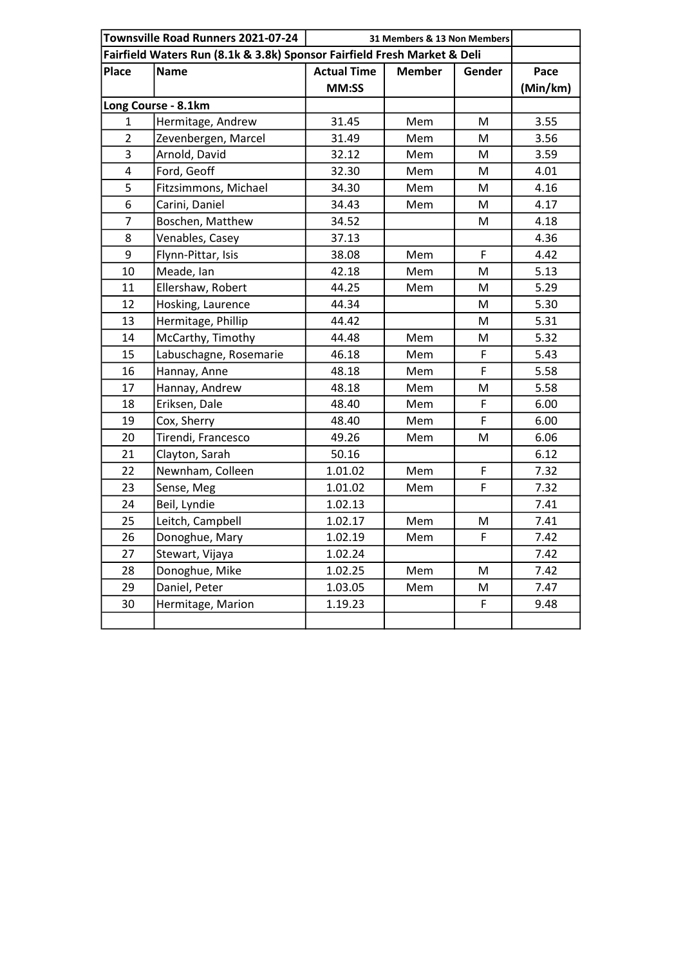| Townsville Road Runners 2021-07-24 |                        | 31 Members & 13 Non Members                                              |               |        |          |
|------------------------------------|------------------------|--------------------------------------------------------------------------|---------------|--------|----------|
|                                    |                        | Fairfield Waters Run (8.1k & 3.8k) Sponsor Fairfield Fresh Market & Deli |               |        |          |
| <b>Place</b>                       | <b>Name</b>            | <b>Actual Time</b>                                                       | <b>Member</b> | Gender | Pace     |
|                                    |                        | MM:SS                                                                    |               |        | (Min/km) |
| Long Course - 8.1km                |                        |                                                                          |               |        |          |
| $\mathbf{1}$                       | Hermitage, Andrew      | 31.45                                                                    | Mem           | M      | 3.55     |
| $\overline{2}$                     | Zevenbergen, Marcel    | 31.49                                                                    | Mem           | M      | 3.56     |
| 3                                  | Arnold, David          | 32.12                                                                    | Mem           | M      | 3.59     |
| 4                                  | Ford, Geoff            | 32.30                                                                    | Mem           | M      | 4.01     |
| 5                                  | Fitzsimmons, Michael   | 34.30                                                                    | Mem           | M      | 4.16     |
| 6                                  | Carini, Daniel         | 34.43                                                                    | Mem           | M      | 4.17     |
| $\overline{7}$                     | Boschen, Matthew       | 34.52                                                                    |               | M      | 4.18     |
| 8                                  | Venables, Casey        | 37.13                                                                    |               |        | 4.36     |
| 9                                  | Flynn-Pittar, Isis     | 38.08                                                                    | Mem           | F      | 4.42     |
| 10                                 | Meade, Ian             | 42.18                                                                    | Mem           | M      | 5.13     |
| 11                                 | Ellershaw, Robert      | 44.25                                                                    | Mem           | M      | 5.29     |
| 12                                 | Hosking, Laurence      | 44.34                                                                    |               | M      | 5.30     |
| 13                                 | Hermitage, Phillip     | 44.42                                                                    |               | M      | 5.31     |
| 14                                 | McCarthy, Timothy      | 44.48                                                                    | Mem           | M      | 5.32     |
| 15                                 | Labuschagne, Rosemarie | 46.18                                                                    | Mem           | F      | 5.43     |
| 16                                 | Hannay, Anne           | 48.18                                                                    | Mem           | F      | 5.58     |
| 17                                 | Hannay, Andrew         | 48.18                                                                    | Mem           | M      | 5.58     |
| 18                                 | Eriksen, Dale          | 48.40                                                                    | Mem           | F      | 6.00     |
| 19                                 | Cox, Sherry            | 48.40                                                                    | Mem           | F      | 6.00     |
| 20                                 | Tirendi, Francesco     | 49.26                                                                    | Mem           | M      | 6.06     |
| 21                                 | Clayton, Sarah         | 50.16                                                                    |               |        | 6.12     |
| 22                                 | Newnham, Colleen       | 1.01.02                                                                  | Mem           | F      | 7.32     |
| 23                                 | Sense, Meg             | 1.01.02                                                                  | Mem           | F      | 7.32     |
| 24                                 | Beil, Lyndie           | 1.02.13                                                                  |               |        | 7.41     |
| 25                                 | Leitch, Campbell       | 1.02.17                                                                  | Mem           | M      | 7.41     |
| 26                                 | Donoghue, Mary         | 1.02.19                                                                  | Mem           | F      | 7.42     |
| 27                                 | Stewart, Vijaya        | 1.02.24                                                                  |               |        | 7.42     |
| 28                                 | Donoghue, Mike         | 1.02.25                                                                  | Mem           | M      | 7.42     |
| 29                                 | Daniel, Peter          | 1.03.05                                                                  | Mem           | M      | 7.47     |
| 30                                 | Hermitage, Marion      | 1.19.23                                                                  |               | F      | 9.48     |
|                                    |                        |                                                                          |               |        |          |